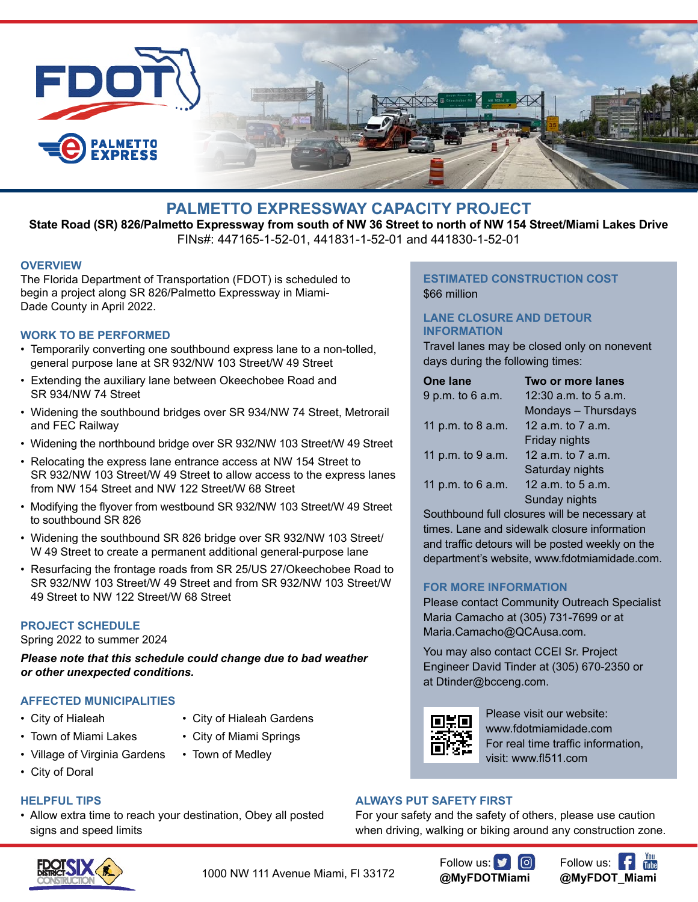

## **PALMETTO EXPRESSWAY CAPACITY PROJECT**

**State Road (SR) 826/Palmetto Expressway from south of NW 36 Street to north of NW 154 Street/Miami Lakes Drive** FINs#: 447165-1-52-01, 441831-1-52-01 and 441830-1-52-01

### **OVERVIEW**

The Florida Department of Transportation (FDOT) is scheduled to begin a project along SR 826/Palmetto Expressway in Miami-Dade County in April 2022.

### **WORK TO BE PERFORMED**

- Temporarily converting one southbound express lane to a non-tolled, general purpose lane at SR 932/NW 103 Street/W 49 Street
- Extending the auxiliary lane between Okeechobee Road and SR 934/NW 74 Street
- Widening the southbound bridges over SR 934/NW 74 Street, Metrorail and FEC Railway
- Widening the northbound bridge over SR 932/NW 103 Street/W 49 Street
- Relocating the express lane entrance access at NW 154 Street to SR 932/NW 103 Street/W 49 Street to allow access to the express lanes from NW 154 Street and NW 122 Street/W 68 Street
- Modifying the flyover from westbound SR 932/NW 103 Street/W 49 Street to southbound SR 826
- Widening the southbound SR 826 bridge over SR 932/NW 103 Street/ W 49 Street to create a permanent additional general-purpose lane
- Resurfacing the frontage roads from SR 25/US 27/Okeechobee Road to SR 932/NW 103 Street/W 49 Street and from SR 932/NW 103 Street/W 49 Street to NW 122 Street/W 68 Street

### **PROJECT SCHEDULE**

Spring 2022 to summer 2024

*Please note that this schedule could change due to bad weather or other unexpected conditions.*

### **AFFECTED MUNICIPALITIES**

- 
- City of Hialeah City of Hialeah Gardens
- 
- Town of Miami Lakes City of Miami Springs
- Village of Virginia Gardens Town of Medley
- City of Doral
- 

## **HELPFUL TIPS**

• Allow extra time to reach your destination, Obey all posted signs and speed limits

## **ESTIMATED CONSTRUCTION COST** \$66 million

## **LANE CLOSURE AND DETOUR INFORMATION**

Travel lanes may be closed only on nonevent days during the following times:

| <b>One lane</b>   | Two or more lanes        |
|-------------------|--------------------------|
| 9 p.m. to 6 a.m.  | 12:30 $a.m.$ to 5 $a.m.$ |
|                   | Mondays - Thursdays      |
| 11 p.m. to 8 a.m. | 12 a.m. to 7 a.m.        |
|                   | Friday nights            |
| 11 p.m. to 9 a.m. | 12 a.m. to 7 a.m.        |
|                   | Saturday nights          |
| 11 p.m. to 6 a.m. | 12 $a.m.$ to 5 $a.m.$    |
|                   | Sunday nights            |

Southbound full closures will be necessary at times. Lane and sidewalk closure information and traffic detours will be posted weekly on the department's website, www.fdotmiamidade.com.

### **FOR MORE INFORMATION**

Please contact Community Outreach Specialist Maria Camacho at (305) 731-7699 or at Maria.Camacho@QCAusa.com.

You may also contact CCEI Sr. Project Engineer David Tinder at (305) 670-2350 or at Dtinder@bcceng.com.



Please visit our website: www.fdotmiamidade.com For real time traffic information, visit: www.fl511.com

### **ALWAYS PUT SAFETY FIRST**

For your safety and the safety of others, please use caution when driving, walking or biking around any construction zone.



1000 NW 111 Avenue Miami, Fl 33172

Follow us: **y 0 @MyFDOTMiami**